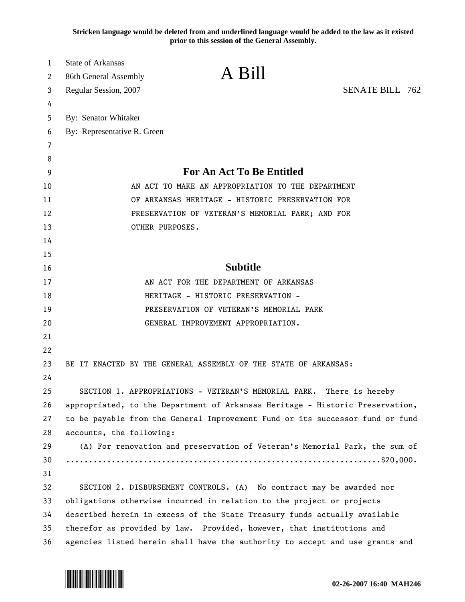**Stricken language would be deleted from and underlined language would be added to the law as it existed prior to this session of the General Assembly.**

| 1        | <b>State of Arkansas</b>                                                      | A Bill                                                                |                        |  |
|----------|-------------------------------------------------------------------------------|-----------------------------------------------------------------------|------------------------|--|
| 2        | 86th General Assembly                                                         |                                                                       |                        |  |
| 3        | Regular Session, 2007                                                         |                                                                       | <b>SENATE BILL 762</b> |  |
| 4        |                                                                               |                                                                       |                        |  |
| 5        | By: Senator Whitaker                                                          |                                                                       |                        |  |
| 6        | By: Representative R. Green                                                   |                                                                       |                        |  |
| 7        |                                                                               |                                                                       |                        |  |
| 8        |                                                                               | <b>For An Act To Be Entitled</b>                                      |                        |  |
| 9        |                                                                               | AN ACT TO MAKE AN APPROPRIATION TO THE DEPARTMENT                     |                        |  |
| 10<br>11 | OF ARKANSAS HERITAGE - HISTORIC PRESERVATION FOR                              |                                                                       |                        |  |
| 12       |                                                                               | PRESERVATION OF VETERAN'S MEMORIAL PARK; AND FOR                      |                        |  |
| 13       | OTHER PURPOSES.                                                               |                                                                       |                        |  |
| 14       |                                                                               |                                                                       |                        |  |
| 15       |                                                                               |                                                                       |                        |  |
| 16       |                                                                               | <b>Subtitle</b>                                                       |                        |  |
| 17       |                                                                               | AN ACT FOR THE DEPARTMENT OF ARKANSAS                                 |                        |  |
| 18       |                                                                               | HERITAGE - HISTORIC PRESERVATION -                                    |                        |  |
| 19       |                                                                               | PRESERVATION OF VETERAN'S MEMORIAL PARK                               |                        |  |
| 20       |                                                                               | GENERAL IMPROVEMENT APPROPRIATION.                                    |                        |  |
| 21       |                                                                               |                                                                       |                        |  |
| 22       |                                                                               |                                                                       |                        |  |
| 23       |                                                                               | BE IT ENACTED BY THE GENERAL ASSEMBLY OF THE STATE OF ARKANSAS:       |                        |  |
| 24       |                                                                               |                                                                       |                        |  |
| 25       |                                                                               | SECTION 1. APPROPRIATIONS - VETERAN'S MEMORIAL PARK.                  | There is hereby        |  |
| 26       | appropriated, to the Department of Arkansas Heritage - Historic Preservation, |                                                                       |                        |  |
| 27       | to be payable from the General Improvement Fund or its successor fund or fund |                                                                       |                        |  |
| 28       | accounts, the following:                                                      |                                                                       |                        |  |
| 29       | (A) For renovation and preservation of Veteran's Memorial Park, the sum of    |                                                                       |                        |  |
| 30       |                                                                               |                                                                       |                        |  |
| 31       |                                                                               |                                                                       |                        |  |
| 32       |                                                                               | SECTION 2. DISBURSEMENT CONTROLS. (A) No contract may be awarded nor  |                        |  |
| 33       | obligations otherwise incurred in relation to the project or projects         |                                                                       |                        |  |
| 34       | described herein in excess of the State Treasury funds actually available     |                                                                       |                        |  |
| 35       |                                                                               | therefor as provided by law. Provided, however, that institutions and |                        |  |
| 36       | agencies listed herein shall have the authority to accept and use grants and  |                                                                       |                        |  |